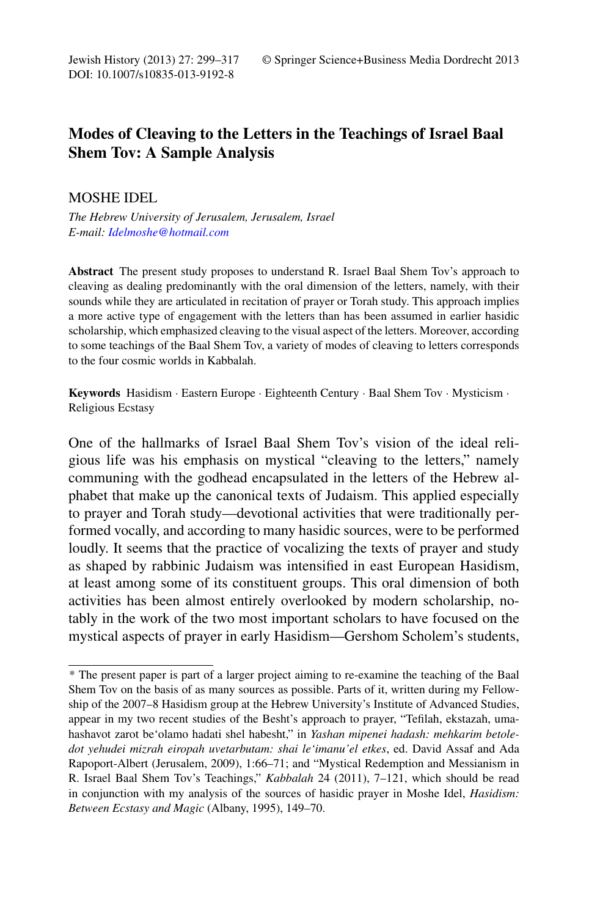DOI: 10.1007/s10835-013-9192-8

## **Modes of Cleaving to the Letters in the Teachings of Israel Baal Shem Tov: A Sample Analysis**

## MOSHE IDEL

*The Hebrew University of Jerusalem, Jerusalem, Israel E-mail: [Idelmoshe@hotmail.com](mailto:Idelmoshe@hotmail.com)*

**Abstract** The present study proposes to understand R. Israel Baal Shem Tov's approach to cleaving as dealing predominantly with the oral dimension of the letters, namely, with their sounds while they are articulated in recitation of prayer or Torah study. This approach implies a more active type of engagement with the letters than has been assumed in earlier hasidic scholarship, which emphasized cleaving to the visual aspect of the letters. Moreover, according to some teachings of the Baal Shem Tov, a variety of modes of cleaving to letters corresponds to the four cosmic worlds in Kabbalah.

**Keywords** Hasidism · Eastern Europe · Eighteenth Century · Baal Shem Tov · Mysticism · Religious Ecstasy

One of the hallmarks of Israel Baal Shem Tov's vision of the ideal religious life was his emphasis on mystical "cleaving to the letters," namely communing with the godhead encapsulated in the letters of the Hebrew alphabet that make up the canonical texts of Judaism. This applied especially to prayer and Torah study—devotional activities that were traditionally performed vocally, and according to many hasidic sources, were to be performed loudly. It seems that the practice of vocalizing the texts of prayer and study as shaped by rabbinic Judaism was intensified in east European Hasidism, at least among some of its constituent groups. This oral dimension of both activities has been almost entirely overlooked by modern scholarship, notably in the work of the two most important scholars to have focused on the mystical aspects of prayer in early Hasidism—Gershom Scholem's students,

<sup>\*</sup> The present paper is part of a larger project aiming to re-examine the teaching of the Baal Shem Tov on the basis of as many sources as possible. Parts of it, written during my Fellowship of the 2007–8 Hasidism group at the Hebrew University's Institute of Advanced Studies, appear in my two recent studies of the Besht's approach to prayer, "Tefilah, ekstazah, umahashavot zarot be'olamo hadati shel habesht," in *Yashan mipenei hadash: mehkarim betoledot yehudei mizrah eiropah uvetarbutam: shai le'imanu'el etkes*, ed. David Assaf and Ada Rapoport-Albert (Jerusalem, 2009), 1:66–71; and "Mystical Redemption and Messianism in R. Israel Baal Shem Tov's Teachings," *Kabbalah* 24 (2011), 7–121, which should be read in conjunction with my analysis of the sources of hasidic prayer in Moshe Idel, *Hasidism: Between Ecstasy and Magic* (Albany, 1995), 149–70.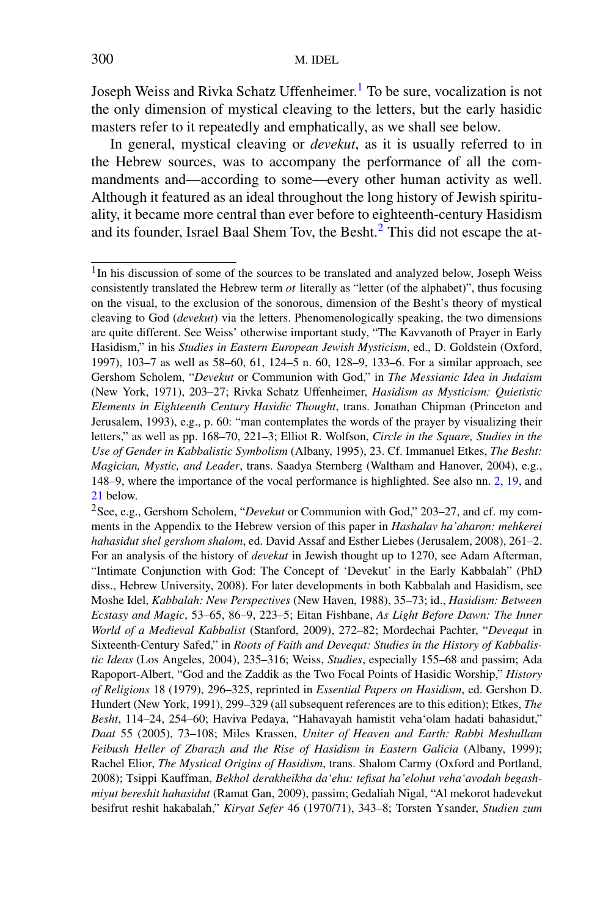Joseph Weiss and Rivka Schatz Uffenheimer.<sup>[1](#page-1-0)</sup> To be sure, vocalization is not the only dimension of mystical cleaving to the letters, but the early hasidic masters refer to it repeatedly and emphatically, as we shall see below.

<span id="page-1-3"></span><span id="page-1-0"></span>In general, mystical cleaving or *devekut*, as it is usually referred to in the Hebrew sources, was to accompany the performance of all the commandments and—according to some—every other human activity as well. Although it featured as an ideal throughout the long history of Jewish spirituality, it became more central than ever before to eighteenth-century Hasidism and its founder, Israel Baal Shem Tov, the Besht. $2$  This did not escape the at-

<span id="page-1-2"></span><span id="page-1-1"></span><sup>&</sup>lt;sup>1</sup>In his discussion of some of the sources to be translated and analyzed below, Joseph Weiss consistently translated the Hebrew term  $ot$  literally as "letter (of the alphabet)", thus focusing on the visual, to the exclusion of the sonorous, dimension of the Besht's theory of mystical cleaving to God (*devekut*) via the letters. Phenomenologically speaking, the two dimensions are quite different. See Weiss' otherwise important study, "The Kavvanoth of Prayer in Early Hasidism," in his *Studies in Eastern European Jewish Mysticism*, ed., D. Goldstein (Oxford, 1997), 103–7 as well as 58–60, 61, 124–5 n. 60, 128–9, 133–6. For a similar approach, see Gershom Scholem, "*Devekut* or Communion with God," in *The Messianic Idea in Judaism* (New York, 1971), 203–27; Rivka Schatz Uffenheimer, *Hasidism as Mysticism: Quietistic Elements in Eighteenth Century Hasidic Thought*, trans. Jonathan Chipman (Princeton and Jerusalem, 1993), e.g., p. 60: "man contemplates the words of the prayer by visualizing their letters," as well as pp. 168–70, 221–3; Elliot R. Wolfson, *Circle in the Square, Studies in the Use of Gender in Kabbalistic Symbolism* (Albany, 1995), 23. Cf. Immanuel Etkes, *The Besht: Magician, Mystic, and Leader*, trans. Saadya Sternberg (Waltham and Hanover, 2004), e.g., 148–9, where the importance of the vocal performance is highlighted. See also nn. [2](#page-1-2), [19,](#page-8-0) and [21](#page-8-1) below.

<sup>2</sup>See, e.g., Gershom Scholem, "*Devekut* or Communion with God," 203–27, and cf. my comments in the Appendix to the Hebrew version of this paper in *Hashalav ha'aharon: mehkerei hahasidut shel gershom shalom*, ed. David Assaf and Esther Liebes (Jerusalem, 2008), 261–2. For an analysis of the history of *devekut* in Jewish thought up to 1270, see Adam Afterman, "Intimate Conjunction with God: The Concept of 'Devekut' in the Early Kabbalah" (PhD diss., Hebrew University, 2008). For later developments in both Kabbalah and Hasidism, see Moshe Idel, *Kabbalah: New Perspectives* (New Haven, 1988), 35–73; id., *Hasidism: Between Ecstasy and Magic*, 53–65, 86–9, 223–5; Eitan Fishbane, *As Light Before Dawn: The Inner World of a Medieval Kabbalist* (Stanford, 2009), 272–82; Mordechai Pachter, "*Devequt* in Sixteenth-Century Safed," in *Roots of Faith and Devequt: Studies in the History of Kabbalistic Ideas* (Los Angeles, 2004), 235–316; Weiss, *Studies*, especially 155–68 and passim; Ada Rapoport-Albert, "God and the Zaddik as the Two Focal Points of Hasidic Worship," *History of Religions* 18 (1979), 296–325, reprinted in *Essential Papers on Hasidism*, ed. Gershon D. Hundert (New York, 1991), 299–329 (all subsequent references are to this edition); Etkes, *The Besht*, 114–24, 254–60; Haviva Pedaya, "Hahavayah hamistit veha'olam hadati bahasidut," *Daat* 55 (2005), 73–108; Miles Krassen, *Uniter of Heaven and Earth: Rabbi Meshullam Feibush Heller of Zbarazh and the Rise of Hasidism in Eastern Galicia* (Albany, 1999); Rachel Elior, *The Mystical Origins of Hasidism*, trans. Shalom Carmy (Oxford and Portland, 2008); Tsippi Kauffman, *Bekhol derakheikha da'ehu: tefisat ha'elohut veha'avodah begashmiyut bereshit hahasidut* (Ramat Gan, 2009), passim; Gedaliah Nigal, "Al mekorot hadevekut besifrut reshit hakabalah," *Kiryat Sefer* 46 (1970/71), 343–8; Torsten Ysander, *Studien zum*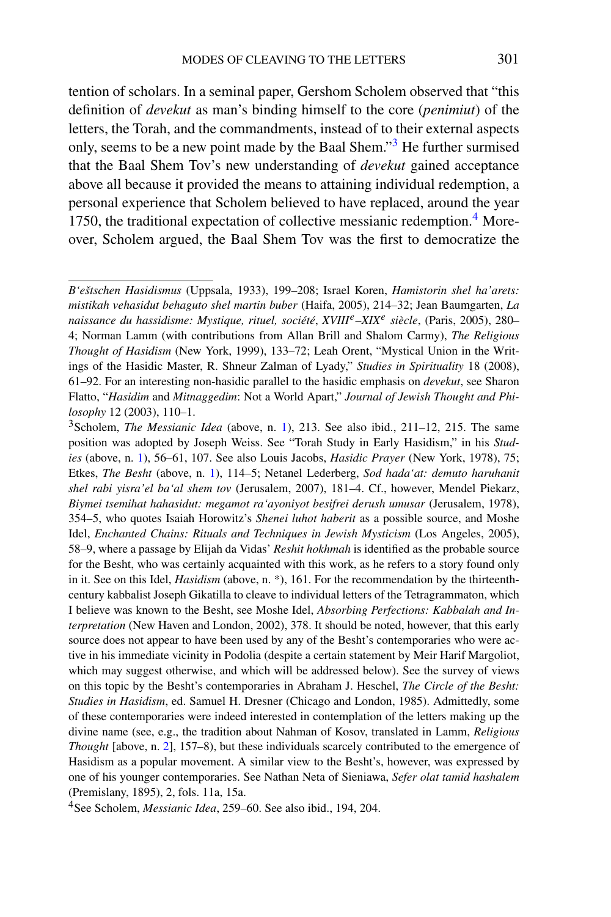tention of scholars. In a seminal paper, Gershom Scholem observed that "this definition of *devekut* as man's binding himself to the core (*penimiut*) of the letters, the Torah, and the commandments, instead of to their external aspects only, seems to be a new point made by the Baal Shem."[3](#page-2-0) He further surmised that the Baal Shem Tov's new understanding of *devekut* gained acceptance above all because it provided the means to attaining individual redemption, a personal experience that Scholem believed to have replaced, around the year 1750, the traditional expectation of collective messianic redemption.<sup>[4](#page-2-1)</sup> Moreover, Scholem argued, the Baal Shem Tov was the first to democratize the

<span id="page-2-2"></span><span id="page-2-0"></span>*B'eštschen Hasidismus* (Uppsala, 1933), 199–208; Israel Koren, *Hamistorin shel ha'arets: mistikah vehasidut behaguto shel martin buber* (Haifa, 2005), 214–32; Jean Baumgarten, *La naissance du hassidisme: Mystique, rituel, société*, *XVIIIe*–*XIX<sup>e</sup> siècle*, (Paris, 2005), 280– 4; Norman Lamm (with contributions from Allan Brill and Shalom Carmy), *The Religious Thought of Hasidism* (New York, 1999), 133–72; Leah Orent, "Mystical Union in the Writings of the Hasidic Master, R. Shneur Zalman of Lyady," *Studies in Spirituality* 18 (2008), 61–92. For an interesting non-hasidic parallel to the hasidic emphasis on *devekut*, see Sharon Flatto, "*Hasidim* and *Mitnaggedim*: Not a World Apart," *Journal of Jewish Thought and Philosophy* 12 (2003), 110–1.

<sup>3</sup>Scholem, *The Messianic Idea* (above, n. [1](#page-1-3)), 213. See also ibid., 211–12, 215. The same position was adopted by Joseph Weiss. See "Torah Study in Early Hasidism," in his *Studies* (above, n. [1\)](#page-1-3), 56–61, 107. See also Louis Jacobs, *Hasidic Prayer* (New York, 1978), 75; Etkes, *The Besht* (above, n. [1](#page-1-3)), 114–5; Netanel Lederberg, *Sod hada'at: demuto haruhanit shel rabi yisra'el ba'al shem tov* (Jerusalem, 2007), 181–4. Cf., however, Mendel Piekarz, *Biymei tsemihat hahasidut: megamot ra'ayoniyot besifrei derush umusar* (Jerusalem, 1978), 354–5, who quotes Isaiah Horowitz's *Shenei luhot haberit* as a possible source, and Moshe Idel, *Enchanted Chains: Rituals and Techniques in Jewish Mysticism* (Los Angeles, 2005), 58–9, where a passage by Elijah da Vidas' *Reshit hokhmah* is identified as the probable source for the Besht, who was certainly acquainted with this work, as he refers to a story found only in it. See on this Idel, *Hasidism* (above, n. \*), 161. For the recommendation by the thirteenthcentury kabbalist Joseph Gikatilla to cleave to individual letters of the Tetragrammaton, which I believe was known to the Besht, see Moshe Idel, *Absorbing Perfections: Kabbalah and Interpretation* (New Haven and London, 2002), 378. It should be noted, however, that this early source does not appear to have been used by any of the Besht's contemporaries who were active in his immediate vicinity in Podolia (despite a certain statement by Meir Harif Margoliot, which may suggest otherwise, and which will be addressed below). See the survey of views on this topic by the Besht's contemporaries in Abraham J. Heschel, *The Circle of the Besht: Studies in Hasidism*, ed. Samuel H. Dresner (Chicago and London, 1985). Admittedly, some of these contemporaries were indeed interested in contemplation of the letters making up the divine name (see, e.g., the tradition about Nahman of Kosov, translated in Lamm, *Religious Thought* [above, n. [2\]](#page-1-2), 157–8), but these individuals scarcely contributed to the emergence of Hasidism as a popular movement. A similar view to the Besht's, however, was expressed by one of his younger contemporaries. See Nathan Neta of Sieniawa, *Sefer olat tamid hashalem* (Premislany, 1895), 2, fols. 11a, 15a.

<span id="page-2-1"></span><sup>4</sup>See Scholem, *Messianic Idea*, 259–60. See also ibid., 194, 204.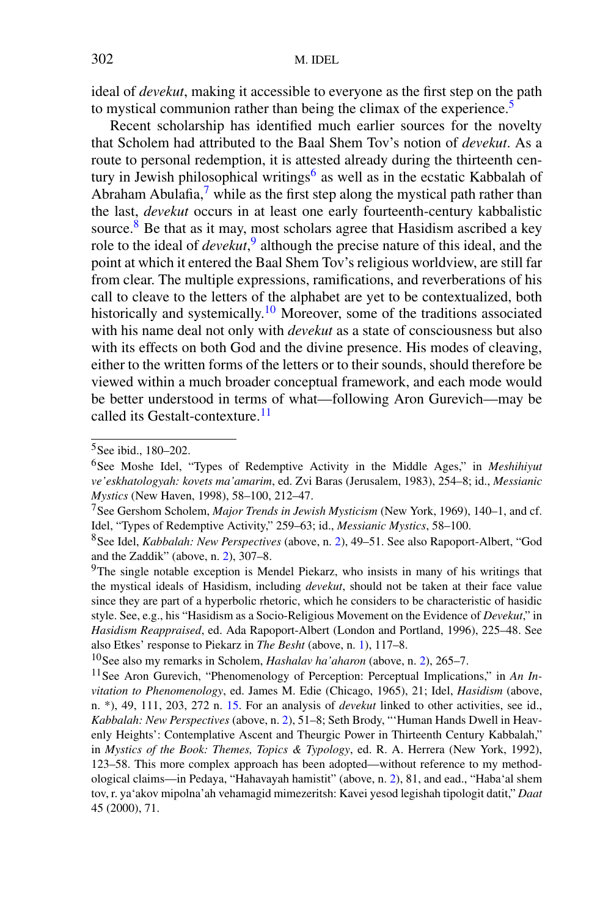ideal of *devekut*, making it accessible to everyone as the first step on the path to mystical communion rather than being the climax of the experience.<sup>[5](#page-3-0)</sup>

Recent scholarship has identified much earlier sources for the novelty that Scholem had attributed to the Baal Shem Tov's notion of *devekut*. As a route to personal redemption, it is attested already during the thirteenth cen-tury in Jewish philosophical writings<sup>[6](#page-3-1)</sup> as well as in the ecstatic Kabbalah of Abraham Abulafia,<sup>7</sup> while as the first step along the mystical path rather than the last, *devekut* occurs in at least one early fourteenth-century kabbalistic source.<sup>[8](#page-3-3)</sup> Be that as it may, most scholars agree that Hasidism ascribed a key role to the ideal of *devekut*, [9](#page-3-4) although the precise nature of this ideal, and the point at which it entered the Baal Shem Tov's religious worldview, are still far from clear. The multiple expressions, ramifications, and reverberations of his call to cleave to the letters of the alphabet are yet to be contextualized, both historically and systemically.<sup>10</sup> Moreover, some of the traditions associated with his name deal not only with *devekut* as a state of consciousness but also with its effects on both God and the divine presence. His modes of cleaving, either to the written forms of the letters or to their sounds, should therefore be viewed within a much broader conceptual framework, and each mode would be better understood in terms of what—following Aron Gurevich—may be called its Gestalt-contexture.<sup>[11](#page-3-6)</sup>

<span id="page-3-4"></span><span id="page-3-3"></span><span id="page-3-2"></span><span id="page-3-1"></span><span id="page-3-0"></span><sup>5</sup>See ibid., 180–202.

<sup>6</sup>See Moshe Idel, "Types of Redemptive Activity in the Middle Ages," in *Meshihiyut ve'eskhatologyah: kovets ma'amarim*, ed. Zvi Baras (Jerusalem, 1983), 254–8; id., *Messianic Mystics* (New Haven, 1998), 58–100, 212–47.

<sup>7</sup>See Gershom Scholem, *Major Trends in Jewish Mysticism* (New York, 1969), 140–1, and cf. Idel, "Types of Redemptive Activity," 259–63; id., *Messianic Mystics*, 58–100.

<span id="page-3-7"></span><span id="page-3-6"></span><span id="page-3-5"></span><sup>8</sup>See Idel, *Kabbalah: New Perspectives* (above, n. [2](#page-1-2)), 49–51. See also Rapoport-Albert, "God and the Zaddik" (above, n. [2\)](#page-1-2), 307–8.

 $9$ The single notable exception is Mendel Piekarz, who insists in many of his writings that the mystical ideals of Hasidism, including *devekut*, should not be taken at their face value since they are part of a hyperbolic rhetoric, which he considers to be characteristic of hasidic style. See, e.g., his "Hasidism as a Socio-Religious Movement on the Evidence of *Devekut*," in *Hasidism Reappraised*, ed. Ada Rapoport-Albert (London and Portland, 1996), 225–48. See also Etkes' response to Piekarz in *The Besht* (above, n. [1\)](#page-1-3), 117–8.

<sup>10</sup>See also my remarks in Scholem, *Hashalav ha'aharon* (above, n. [2\)](#page-1-2), 265–7.

<sup>11</sup>See Aron Gurevich, "Phenomenology of Perception: Perceptual Implications," in *An Invitation to Phenomenology*, ed. James M. Edie (Chicago, 1965), 21; Idel, *Hasidism* (above, n. \*), 49, 111, 203, 272 n. [15](#page-5-0). For an analysis of *devekut* linked to other activities, see id., *Kabbalah: New Perspectives* (above, n. [2\)](#page-1-2), 51–8; Seth Brody, "'Human Hands Dwell in Heavenly Heights': Contemplative Ascent and Theurgic Power in Thirteenth Century Kabbalah," in *Mystics of the Book: Themes, Topics & Typology*, ed. R. A. Herrera (New York, 1992), 123–58. This more complex approach has been adopted—without reference to my methodological claims—in Pedaya, "Hahavayah hamistit" (above, n. [2\)](#page-1-2), 81, and ead., "Haba'al shem tov, r. ya'akov mipolna'ah vehamagid mimezeritsh: Kavei yesod legishah tipologit datit," *Daat* 45 (2000), 71.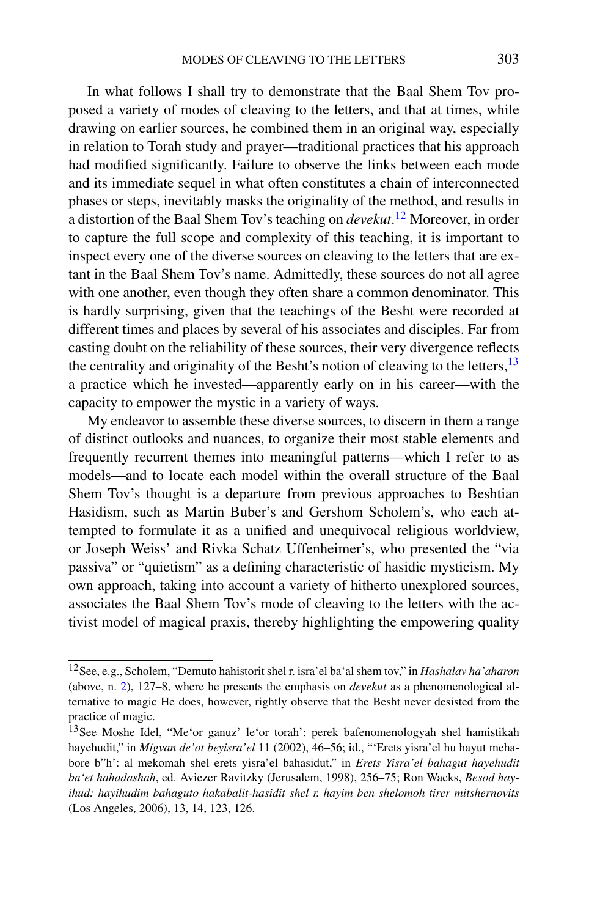In what follows I shall try to demonstrate that the Baal Shem Tov proposed a variety of modes of cleaving to the letters, and that at times, while drawing on earlier sources, he combined them in an original way, especially in relation to Torah study and prayer—traditional practices that his approach had modified significantly. Failure to observe the links between each mode and its immediate sequel in what often constitutes a chain of interconnected phases or steps, inevitably masks the originality of the method, and results in a distortion of the Baal Shem Tov's teaching on *devekut*. [12](#page-4-0) Moreover, in order to capture the full scope and complexity of this teaching, it is important to inspect every one of the diverse sources on cleaving to the letters that are extant in the Baal Shem Tov's name. Admittedly, these sources do not all agree with one another, even though they often share a common denominator. This is hardly surprising, given that the teachings of the Besht were recorded at different times and places by several of his associates and disciples. Far from casting doubt on the reliability of these sources, their very divergence reflects the centrality and originality of the Besht's notion of cleaving to the letters,  $13$ a practice which he invested—apparently early on in his career—with the capacity to empower the mystic in a variety of ways.

My endeavor to assemble these diverse sources, to discern in them a range of distinct outlooks and nuances, to organize their most stable elements and frequently recurrent themes into meaningful patterns—which I refer to as models—and to locate each model within the overall structure of the Baal Shem Tov's thought is a departure from previous approaches to Beshtian Hasidism, such as Martin Buber's and Gershom Scholem's, who each attempted to formulate it as a unified and unequivocal religious worldview, or Joseph Weiss' and Rivka Schatz Uffenheimer's, who presented the "via passiva" or "quietism" as a defining characteristic of hasidic mysticism. My own approach, taking into account a variety of hitherto unexplored sources, associates the Baal Shem Tov's mode of cleaving to the letters with the activist model of magical praxis, thereby highlighting the empowering quality

<span id="page-4-1"></span><span id="page-4-0"></span><sup>12</sup>See, e.g., Scholem, "Demuto hahistorit shel r. isra'el ba'al shem tov," in *Hashalav ha'aharon* (above, n. [2](#page-1-2)), 127–8, where he presents the emphasis on *devekut* as a phenomenological alternative to magic He does, however, rightly observe that the Besht never desisted from the practice of magic.

<sup>13</sup>See Moshe Idel, "Me'or ganuz' le'or torah': perek bafenomenologyah shel hamistikah hayehudit," in *Migvan de'ot beyisra'el* 11 (2002), 46–56; id., "'Erets yisra'el hu hayut mehabore b"h': al mekomah shel erets yisra'el bahasidut," in *Erets Yisra'el bahagut hayehudit ba'et hahadashah*, ed. Aviezer Ravitzky (Jerusalem, 1998), 256–75; Ron Wacks, *Besod hayihud: hayihudim bahaguto hakabalit-hasidit shel r. hayim ben shelomoh tirer mitshernovits* (Los Angeles, 2006), 13, 14, 123, 126.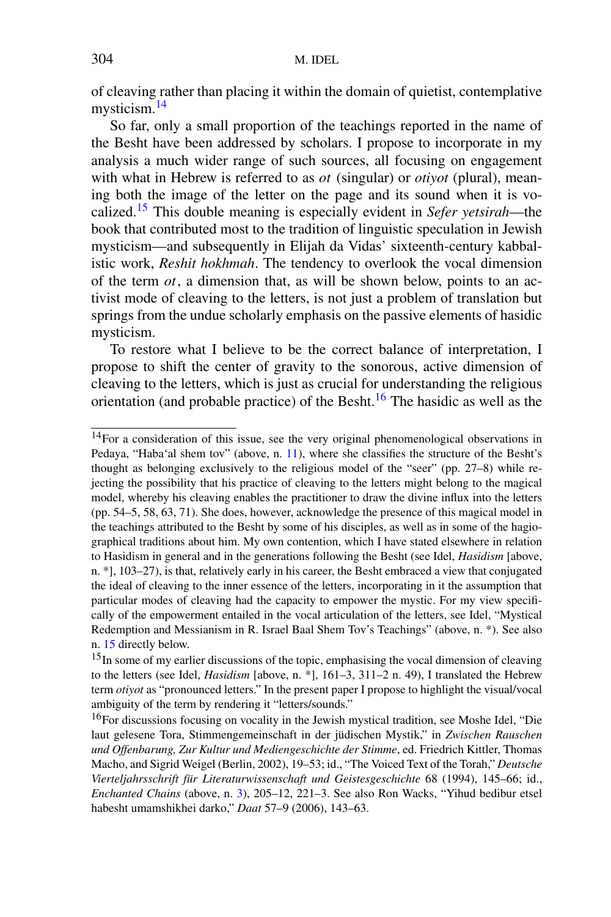of cleaving rather than placing it within the domain of quietist, contemplative mysticism.<sup>[14](#page-5-1)</sup>

So far, only a small proportion of the teachings reported in the name of the Besht have been addressed by scholars. I propose to incorporate in my analysis a much wider range of such sources, all focusing on engagement with what in Hebrew is referred to as *ot* (singular) or *otiyot* (plural), meaning both the image of the letter on the page and its sound when it is vocalized[.15](#page-5-2) This double meaning is especially evident in *Sefer yetsirah*—the book that contributed most to the tradition of linguistic speculation in Jewish mysticism—and subsequently in Elijah da Vidas' sixteenth-century kabbalistic work, *Reshit hokhmah*. The tendency to overlook the vocal dimension of the term *ot*, a dimension that, as will be shown below, points to an activist mode of cleaving to the letters, is not just a problem of translation but springs from the undue scholarly emphasis on the passive elements of hasidic mysticism.

<span id="page-5-1"></span>To restore what I believe to be the correct balance of interpretation, I propose to shift the center of gravity to the sonorous, active dimension of cleaving to the letters, which is just as crucial for understanding the religious orientation (and probable practice) of the Besht.<sup>16</sup> The hasidic as well as the

<span id="page-5-2"></span><span id="page-5-0"></span><sup>&</sup>lt;sup>14</sup>For a consideration of this issue, see the very original phenomenological observations in Pedaya, "Haba'al shem tov" (above, n. [11](#page-3-7)), where she classifies the structure of the Besht's thought as belonging exclusively to the religious model of the "seer" (pp. 27–8) while rejecting the possibility that his practice of cleaving to the letters might belong to the magical model, whereby his cleaving enables the practitioner to draw the divine influx into the letters (pp. 54–5, 58, 63, 71). She does, however, acknowledge the presence of this magical model in the teachings attributed to the Besht by some of his disciples, as well as in some of the hagiographical traditions about him. My own contention, which I have stated elsewhere in relation to Hasidism in general and in the generations following the Besht (see Idel, *Hasidism* [above, n. \*], 103–27), is that, relatively early in his career, the Besht embraced a view that conjugated the ideal of cleaving to the inner essence of the letters, incorporating in it the assumption that particular modes of cleaving had the capacity to empower the mystic. For my view specifically of the empowerment entailed in the vocal articulation of the letters, see Idel, "Mystical Redemption and Messianism in R. Israel Baal Shem Tov's Teachings" (above, n. \*). See also n. [15](#page-5-0) directly below.

<span id="page-5-3"></span> $15$ In some of my earlier discussions of the topic, emphasising the vocal dimension of cleaving to the letters (see Idel, *Hasidism* [above, n. \*], 161–3, 311–2 n. 49), I translated the Hebrew term *otiyot* as "pronounced letters." In the present paper I propose to highlight the visual/vocal ambiguity of the term by rendering it "letters/sounds."

<sup>&</sup>lt;sup>16</sup>For discussions focusing on vocality in the Jewish mystical tradition, see Moshe Idel, "Die laut gelesene Tora, Stimmengemeinschaft in der jüdischen Mystik," in *Zwischen Rauschen und Offenbarung, Zur Kultur und Mediengeschichte der Stimme*, ed. Friedrich Kittler, Thomas Macho, and Sigrid Weigel (Berlin, 2002), 19–53; id., "The Voiced Text of the Torah," *Deutsche Vierteljahrsschrift für Literaturwissenschaft und Geistesgeschichte* 68 (1994), 145–66; id., *Enchanted Chains* (above, n. [3](#page-2-2)), 205–12, 221–3. See also Ron Wacks, "Yihud bedibur etsel habesht umamshikhei darko," *Daat* 57–9 (2006), 143–63.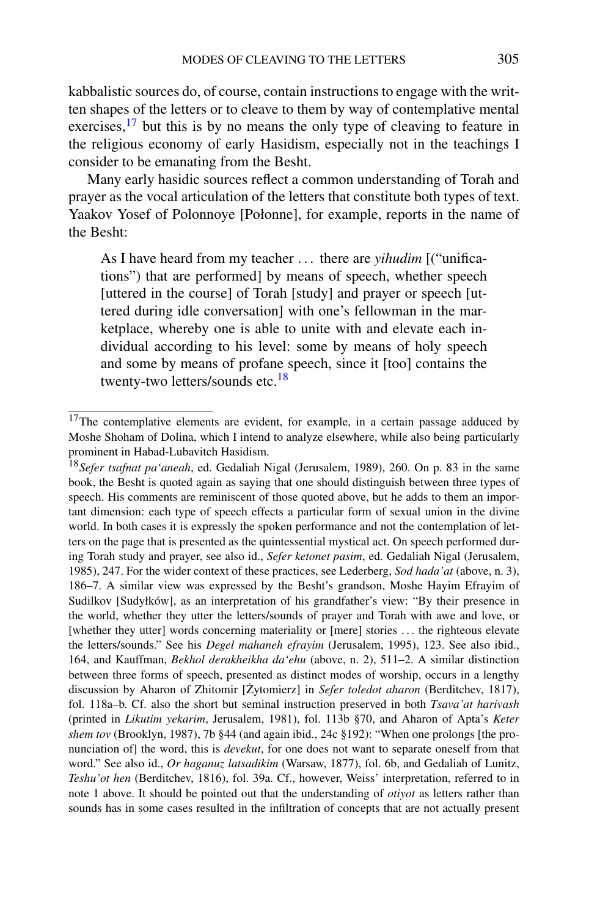kabbalistic sources do, of course, contain instructions to engage with the written shapes of the letters or to cleave to them by way of contemplative mental exercises,  $^{17}$  but this is by no means the only type of cleaving to feature in the religious economy of early Hasidism, especially not in the teachings I consider to be emanating from the Besht.

Many early hasidic sources reflect a common understanding of Torah and prayer as the vocal articulation of the letters that constitute both types of text. Yaakov Yosef of Polonnoye [Połonne], for example, reports in the name of the Besht:

<span id="page-6-3"></span><span id="page-6-0"></span>As I have heard from my teacher *...* there are *yihudim* [("unifications") that are performed] by means of speech, whether speech [uttered in the course] of Torah [study] and prayer or speech [uttered during idle conversation] with one's fellowman in the marketplace, whereby one is able to unite with and elevate each individual according to his level: some by means of holy speech and some by means of profane speech, since it [too] contains the twenty-two letters/sounds etc.[18](#page-6-1)

<span id="page-6-2"></span><span id="page-6-1"></span> $17$ The contemplative elements are evident, for example, in a certain passage adduced by Moshe Shoham of Dolina, which I intend to analyze elsewhere, while also being particularly prominent in Habad-Lubavitch Hasidism.

<sup>18</sup>*Sefer tsafnat pa'aneah*, ed. Gedaliah Nigal (Jerusalem, 1989), 260. On p. 83 in the same book, the Besht is quoted again as saying that one should distinguish between three types of speech. His comments are reminiscent of those quoted above, but he adds to them an important dimension: each type of speech effects a particular form of sexual union in the divine world. In both cases it is expressly the spoken performance and not the contemplation of letters on the page that is presented as the quintessential mystical act. On speech performed during Torah study and prayer, see also id., *Sefer ketonet pasim*, ed. Gedaliah Nigal (Jerusalem, 1985), 247. For the wider context of these practices, see Lederberg, *Sod hada'at* (above, n. 3), 186–7. A similar view was expressed by the Besht's grandson, Moshe Hayim Efrayim of Sudilkov [Sudyłków], as an interpretation of his grandfather's view: "By their presence in the world, whether they utter the letters/sounds of prayer and Torah with awe and love, or [whether they utter] words concerning materiality or [mere] stories *...* the righteous elevate the letters/sounds." See his *Degel mahaneh efrayim* (Jerusalem, 1995), 123. See also ibid., 164, and Kauffman, *Bekhol derakheikha da'ehu* (above, n. 2), 511–2. A similar distinction between three forms of speech, presented as distinct modes of worship, occurs in a lengthy discussion by Aharon of Zhitomir [Zytomierz] in *Sefer toledot aharon* (Berditchev, 1817), fol. 118a–b. Cf. also the short but seminal instruction preserved in both *Tsava'at harivash* (printed in *Likutim yekarim*, Jerusalem, 1981), fol. 113b §70, and Aharon of Apta's *Keter shem tov* (Brooklyn, 1987), 7b §44 (and again ibid., 24c §192): "When one prolongs [the pronunciation of] the word, this is *devekut*, for one does not want to separate oneself from that word." See also id., *Or haganuz latsadikim* (Warsaw, 1877), fol. 6b, and Gedaliah of Lunitz, *Teshu'ot hen* (Berditchev, 1816), fol. 39a. Cf., however, Weiss' interpretation, referred to in note 1 above. It should be pointed out that the understanding of *otiyot* as letters rather than sounds has in some cases resulted in the infiltration of concepts that are not actually present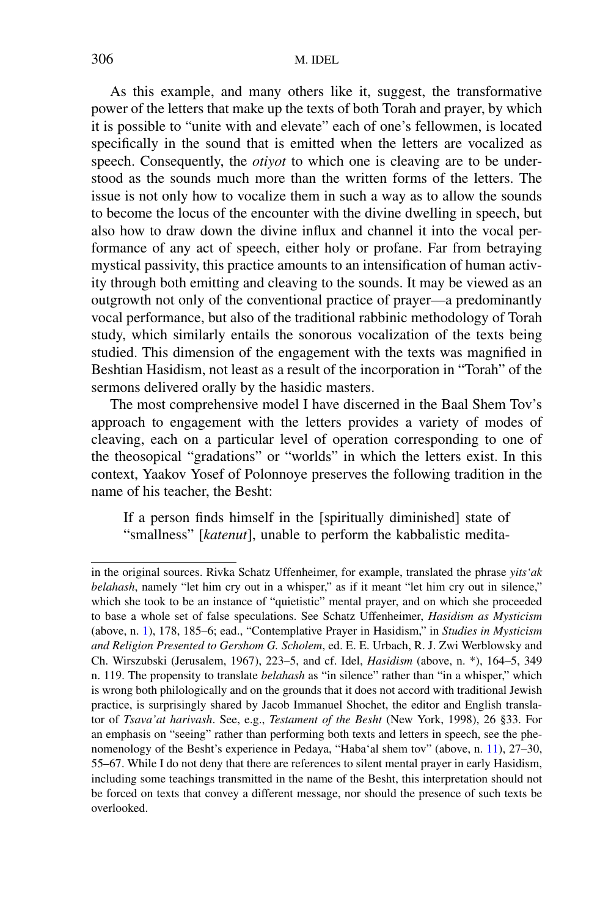As this example, and many others like it, suggest, the transformative power of the letters that make up the texts of both Torah and prayer, by which it is possible to "unite with and elevate" each of one's fellowmen, is located specifically in the sound that is emitted when the letters are vocalized as speech. Consequently, the *otiyot* to which one is cleaving are to be understood as the sounds much more than the written forms of the letters. The issue is not only how to vocalize them in such a way as to allow the sounds to become the locus of the encounter with the divine dwelling in speech, but also how to draw down the divine influx and channel it into the vocal performance of any act of speech, either holy or profane. Far from betraying mystical passivity, this practice amounts to an intensification of human activity through both emitting and cleaving to the sounds. It may be viewed as an outgrowth not only of the conventional practice of prayer—a predominantly vocal performance, but also of the traditional rabbinic methodology of Torah study, which similarly entails the sonorous vocalization of the texts being studied. This dimension of the engagement with the texts was magnified in Beshtian Hasidism, not least as a result of the incorporation in "Torah" of the sermons delivered orally by the hasidic masters.

The most comprehensive model I have discerned in the Baal Shem Tov's approach to engagement with the letters provides a variety of modes of cleaving, each on a particular level of operation corresponding to one of the theosopical "gradations" or "worlds" in which the letters exist. In this context, Yaakov Yosef of Polonnoye preserves the following tradition in the name of his teacher, the Besht:

If a person finds himself in the [spiritually diminished] state of "smallness" [*katenut*], unable to perform the kabbalistic medita-

in the original sources. Rivka Schatz Uffenheimer, for example, translated the phrase *yits'ak belahash*, namely "let him cry out in a whisper," as if it meant "let him cry out in silence," which she took to be an instance of "quietistic" mental prayer, and on which she proceeded to base a whole set of false speculations. See Schatz Uffenheimer, *Hasidism as Mysticism* (above, n. [1](#page-1-3)), 178, 185–6; ead., "Contemplative Prayer in Hasidism," in *Studies in Mysticism and Religion Presented to Gershom G. Scholem*, ed. E. E. Urbach, R. J. Zwi Werblowsky and Ch. Wirszubski (Jerusalem, 1967), 223–5, and cf. Idel, *Hasidism* (above, n. \*), 164–5, 349 n. 119. The propensity to translate *belahash* as "in silence" rather than "in a whisper," which is wrong both philologically and on the grounds that it does not accord with traditional Jewish practice, is surprisingly shared by Jacob Immanuel Shochet, the editor and English translator of *Tsava'at harivash*. See, e.g., *Testament of the Besht* (New York, 1998), 26 §33. For an emphasis on "seeing" rather than performing both texts and letters in speech, see the phenomenology of the Besht's experience in Pedaya, "Haba'al shem tov" (above, n. [11](#page-3-7)), 27–30, 55–67. While I do not deny that there are references to silent mental prayer in early Hasidism, including some teachings transmitted in the name of the Besht, this interpretation should not be forced on texts that convey a different message, nor should the presence of such texts be overlooked.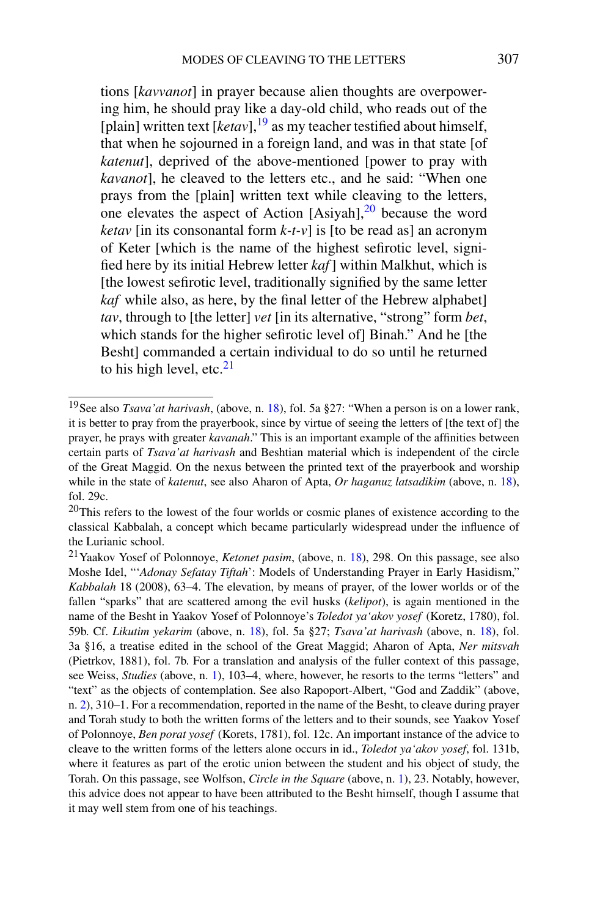tions [*kavvanot*] in prayer because alien thoughts are overpowering him, he should pray like a day-old child, who reads out of the [plain] written text  $[ketav]$ ,<sup>[19](#page-8-2)</sup> as my teacher testified about himself, that when he sojourned in a foreign land, and was in that state [of *katenut*], deprived of the above-mentioned [power to pray with *kavanot*], he cleaved to the letters etc., and he said: "When one prays from the [plain] written text while cleaving to the letters, one elevates the aspect of Action  $[Asiyah]$ ,  $^{20}$  $^{20}$  $^{20}$  because the word *ketav* [in its consonantal form  $k-t$ -*v*] is [to be read as] an acronym of Keter [which is the name of the highest sefirotic level, signified here by its initial Hebrew letter *kaf*] within Malkhut, which is [the lowest sefirotic level, traditionally signified by the same letter *kaf* while also, as here, by the final letter of the Hebrew alphabet] *tav*, through to [the letter] *vet* [in its alternative, "strong" form *bet*, which stands for the higher sefirotic level of] Binah." And he [the Besht] commanded a certain individual to do so until he returned to his high level, etc. $21$ 

<span id="page-8-5"></span><span id="page-8-4"></span><span id="page-8-3"></span><span id="page-8-2"></span><span id="page-8-1"></span><span id="page-8-0"></span><sup>19</sup>See also *Tsava'at harivash*, (above, n. [18](#page-6-2)), fol. 5a §27: "When a person is on a lower rank, it is better to pray from the prayerbook, since by virtue of seeing the letters of [the text of] the prayer, he prays with greater *kavanah*." This is an important example of the affinities between certain parts of *Tsava'at harivash* and Beshtian material which is independent of the circle of the Great Maggid. On the nexus between the printed text of the prayerbook and worship while in the state of *katenut*, see also Aharon of Apta, *Or haganuz latsadikim* (above, n. [18](#page-6-2)), fol. 29c.

 $^{20}$ This refers to the lowest of the four worlds or cosmic planes of existence according to the classical Kabbalah, a concept which became particularly widespread under the influence of the Lurianic school.

<sup>21</sup>Yaakov Yosef of Polonnoye, *Ketonet pasim*, (above, n. [18\)](#page-6-2), 298. On this passage, see also Moshe Idel, "'*Adonay Sefatay Tiftah*': Models of Understanding Prayer in Early Hasidism," *Kabbalah* 18 (2008), 63–4. The elevation, by means of prayer, of the lower worlds or of the fallen "sparks" that are scattered among the evil husks (*kelipot*), is again mentioned in the name of the Besht in Yaakov Yosef of Polonnoye's *Toledot ya'akov yosef* (Koretz, 1780), fol. 59b. Cf. *Likutim yekarim* (above, n. [18](#page-6-2)), fol. 5a §27; *Tsava'at harivash* (above, n. [18](#page-6-2)), fol. 3a §16, a treatise edited in the school of the Great Maggid; Aharon of Apta, *Ner mitsvah* (Pietrkov, 1881), fol. 7b. For a translation and analysis of the fuller context of this passage, see Weiss, *Studies* (above, n. [1\)](#page-1-3), 103–4, where, however, he resorts to the terms "letters" and "text" as the objects of contemplation. See also Rapoport-Albert, "God and Zaddik" (above, n. [2\)](#page-1-2), 310–1. For a recommendation, reported in the name of the Besht, to cleave during prayer and Torah study to both the written forms of the letters and to their sounds, see Yaakov Yosef of Polonnoye, *Ben porat yosef* (Korets, 1781), fol. 12c. An important instance of the advice to cleave to the written forms of the letters alone occurs in id., *Toledot ya'akov yosef*, fol. 131b, where it features as part of the erotic union between the student and his object of study, the Torah. On this passage, see Wolfson, *Circle in the Square* (above, n. [1\)](#page-1-3), 23. Notably, however, this advice does not appear to have been attributed to the Besht himself, though I assume that it may well stem from one of his teachings.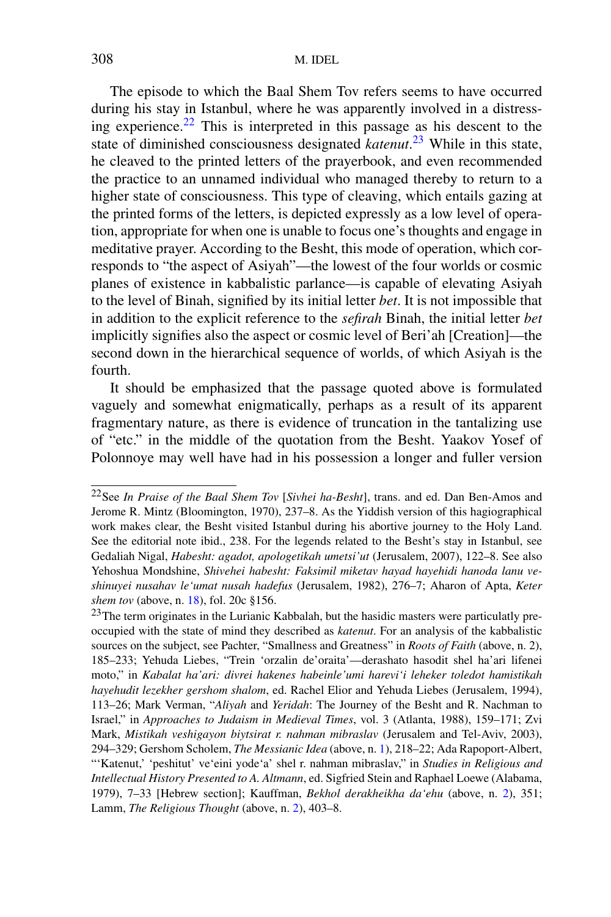The episode to which the Baal Shem Tov refers seems to have occurred during his stay in Istanbul, where he was apparently involved in a distressing experience.<sup>22</sup> This is interpreted in this passage as his descent to the state of diminished consciousness designated *katenut*. [23](#page-9-1) While in this state, he cleaved to the printed letters of the prayerbook, and even recommended the practice to an unnamed individual who managed thereby to return to a higher state of consciousness. This type of cleaving, which entails gazing at the printed forms of the letters, is depicted expressly as a low level of operation, appropriate for when one is unable to focus one's thoughts and engage in meditative prayer. According to the Besht, this mode of operation, which corresponds to "the aspect of Asiyah"—the lowest of the four worlds or cosmic planes of existence in kabbalistic parlance—is capable of elevating Asiyah to the level of Binah, signified by its initial letter *bet*. It is not impossible that in addition to the explicit reference to the *sefirah* Binah, the initial letter *bet* implicitly signifies also the aspect or cosmic level of Beri'ah [Creation]—the second down in the hierarchical sequence of worlds, of which Asiyah is the fourth.

<span id="page-9-2"></span><span id="page-9-0"></span>It should be emphasized that the passage quoted above is formulated vaguely and somewhat enigmatically, perhaps as a result of its apparent fragmentary nature, as there is evidence of truncation in the tantalizing use of "etc." in the middle of the quotation from the Besht. Yaakov Yosef of Polonnoye may well have had in his possession a longer and fuller version

<span id="page-9-1"></span><sup>22</sup>See *In Praise of the Baal Shem Tov* [*Sivhei ha-Besht*], trans. and ed. Dan Ben-Amos and Jerome R. Mintz (Bloomington, 1970), 237–8. As the Yiddish version of this hagiographical work makes clear, the Besht visited Istanbul during his abortive journey to the Holy Land. See the editorial note ibid., 238. For the legends related to the Besht's stay in Istanbul, see Gedaliah Nigal, *Habesht: agadot, apologetikah umetsi'ut* (Jerusalem, 2007), 122–8. See also Yehoshua Mondshine, *Shivehei habesht: Faksimil miketav hayad hayehidi hanoda lanu veshinuyei nusahav le'umat nusah hadefus* (Jerusalem, 1982), 276–7; Aharon of Apta, *Keter shem tov* (above, n. [18](#page-6-2)), fol. 20c §156.

<sup>&</sup>lt;sup>23</sup>The term originates in the Lurianic Kabbalah, but the hasidic masters were particulatly preoccupied with the state of mind they described as *katenut*. For an analysis of the kabbalistic sources on the subject, see Pachter, "Smallness and Greatness" in *Roots of Faith* (above, n. 2), 185–233; Yehuda Liebes, "Trein 'orzalin de'oraita'—derashato hasodit shel ha'ari lifenei moto," in *Kabalat ha'ari: divrei hakenes habeinle'umi harevi'i leheker toledot hamistikah hayehudit lezekher gershom shalom*, ed. Rachel Elior and Yehuda Liebes (Jerusalem, 1994), 113–26; Mark Verman, "*Aliyah* and *Yeridah*: The Journey of the Besht and R. Nachman to Israel," in *Approaches to Judaism in Medieval Times*, vol. 3 (Atlanta, 1988), 159–171; Zvi Mark, *Mistikah veshigayon biytsirat r. nahman mibraslav* (Jerusalem and Tel-Aviv, 2003), 294–329; Gershom Scholem, *The Messianic Idea* (above, n. [1\)](#page-1-3), 218–22; Ada Rapoport-Albert, "'Katenut,' 'peshitut' ve'eini yode'a' shel r. nahman mibraslav," in *Studies in Religious and Intellectual History Presented to A. Altmann*, ed. Sigfried Stein and Raphael Loewe (Alabama, 1979), 7–33 [Hebrew section]; Kauffman, *Bekhol derakheikha da'ehu* (above, n. [2\)](#page-1-2), 351; Lamm, *The Religious Thought* (above, n. [2\)](#page-1-2), 403–8.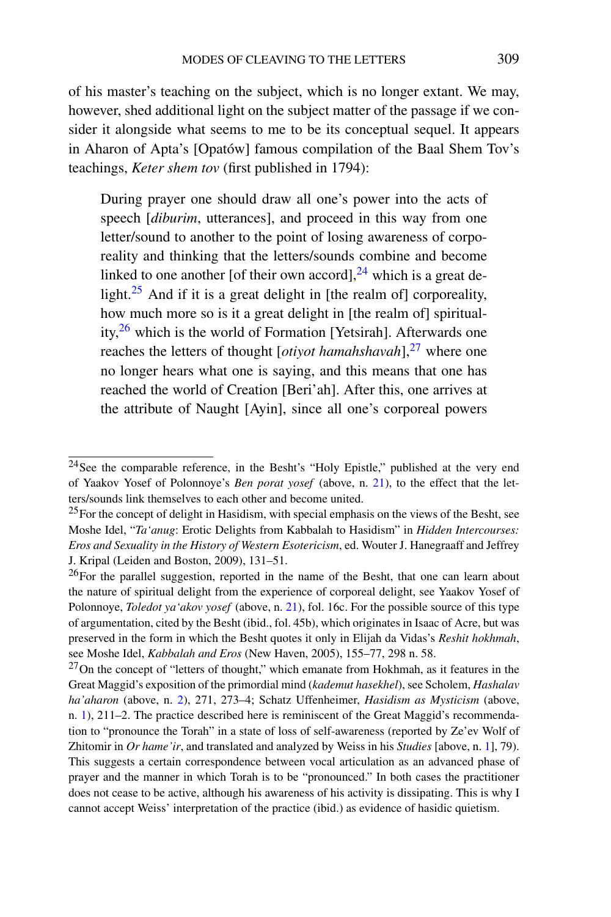of his master's teaching on the subject, which is no longer extant. We may, however, shed additional light on the subject matter of the passage if we consider it alongside what seems to me to be its conceptual sequel. It appears in Aharon of Apta's [Opatów] famous compilation of the Baal Shem Tov's teachings, *Keter shem tov* (first published in 1794):

During prayer one should draw all one's power into the acts of speech [*diburim*, utterances], and proceed in this way from one letter/sound to another to the point of losing awareness of corporeality and thinking that the letters/sounds combine and become linked to one another [of their own accord],  $^{24}$  $^{24}$  $^{24}$  which is a great de-light.<sup>[25](#page-10-1)</sup> And if it is a great delight in [the realm of] corporeality, how much more so is it a great delight in [the realm of] spirituality[,26](#page-10-2) which is the world of Formation [Yetsirah]. Afterwards one reaches the letters of thought [*otiyot hamahshavah*],<sup>27</sup> where one no longer hears what one is saying, and this means that one has reached the world of Creation [Beri'ah]. After this, one arrives at the attribute of Naught [Ayin], since all one's corporeal powers

<span id="page-10-2"></span><span id="page-10-1"></span><span id="page-10-0"></span><sup>24</sup>See the comparable reference, in the Besht's "Holy Epistle," published at the very end of Yaakov Yosef of Polonnoye's *Ben porat yosef* (above, n. [21\)](#page-8-1), to the effect that the letters/sounds link themselves to each other and become united.

 $^{25}$ For the concept of delight in Hasidism, with special emphasis on the views of the Besht, see Moshe Idel, "*Ta'anug*: Erotic Delights from Kabbalah to Hasidism" in *Hidden Intercourses: Eros and Sexuality in the History of Western Esotericism*, ed. Wouter J. Hanegraaff and Jeffrey J. Kripal (Leiden and Boston, 2009), 131–51.

<span id="page-10-3"></span> $^{26}$ For the parallel suggestion, reported in the name of the Besht, that one can learn about the nature of spiritual delight from the experience of corporeal delight, see Yaakov Yosef of Polonnoye, *Toledot ya'akov yosef* (above, n. [21](#page-8-1)), fol. 16c. For the possible source of this type of argumentation, cited by the Besht (ibid., fol. 45b), which originates in Isaac of Acre, but was preserved in the form in which the Besht quotes it only in Elijah da Vidas's *Reshit hokhmah*, see Moshe Idel, *Kabbalah and Eros* (New Haven, 2005), 155–77, 298 n. 58.

 $27$ On the concept of "letters of thought," which emanate from Hokhmah, as it features in the Great Maggid's exposition of the primordial mind (*kademut hasekhel*), see Scholem, *Hashalav ha'aharon* (above, n. [2](#page-1-2)), 271, 273–4; Schatz Uffenheimer, *Hasidism as Mysticism* (above, n. [1](#page-1-3)), 211–2. The practice described here is reminiscent of the Great Maggid's recommendation to "pronounce the Torah" in a state of loss of self-awareness (reported by Ze'ev Wolf of Zhitomir in *Or hame'ir*, and translated and analyzed by Weiss in his *Studies* [above, n. [1](#page-1-3)], 79). This suggests a certain correspondence between vocal articulation as an advanced phase of prayer and the manner in which Torah is to be "pronounced." In both cases the practitioner does not cease to be active, although his awareness of his activity is dissipating. This is why I cannot accept Weiss' interpretation of the practice (ibid.) as evidence of hasidic quietism.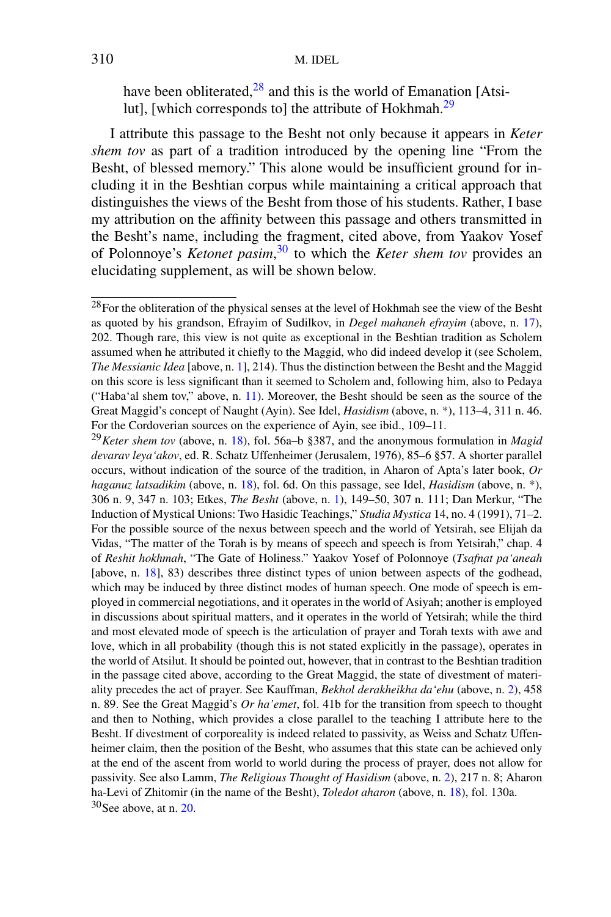have been obliterated, $28$  and this is the world of Emanation [Atsilut], [which corresponds to] the attribute of Hokhmah.<sup>29</sup>

<span id="page-11-0"></span>I attribute this passage to the Besht not only because it appears in *Keter shem tov* as part of a tradition introduced by the opening line "From the Besht, of blessed memory." This alone would be insufficient ground for including it in the Beshtian corpus while maintaining a critical approach that distinguishes the views of the Besht from those of his students. Rather, I base my attribution on the affinity between this passage and others transmitted in the Besht's name, including the fragment, cited above, from Yaakov Yosef of Polonnoye's *Ketonet pasim*, [30](#page-11-2) to which the *Keter shem tov* provides an elucidating supplement, as will be shown below.

<span id="page-11-1"></span> $28$  For the obliteration of the physical senses at the level of Hokhmah see the view of the Besht as quoted by his grandson, Efrayim of Sudilkov, in *Degel mahaneh efrayim* (above, n. [17](#page-6-3)), 202. Though rare, this view is not quite as exceptional in the Beshtian tradition as Scholem assumed when he attributed it chiefly to the Maggid, who did indeed develop it (see Scholem, *The Messianic Idea* [above, n. [1](#page-1-3)], 214). Thus the distinction between the Besht and the Maggid on this score is less significant than it seemed to Scholem and, following him, also to Pedaya ("Haba'al shem tov," above, n. [11\)](#page-3-7). Moreover, the Besht should be seen as the source of the Great Maggid's concept of Naught (Ayin). See Idel, *Hasidism* (above, n. \*), 113–4, 311 n. 46. For the Cordoverian sources on the experience of Ayin, see ibid., 109–11.

<span id="page-11-2"></span><sup>29</sup>*Keter shem tov* (above, n. [18\)](#page-6-2), fol. 56a–b §387, and the anonymous formulation in *Magid devarav leya'akov*, ed. R. Schatz Uffenheimer (Jerusalem, 1976), 85–6 §57. A shorter parallel occurs, without indication of the source of the tradition, in Aharon of Apta's later book, *Or haganuz latsadikim* (above, n. [18\)](#page-6-2), fol. 6d. On this passage, see Idel, *Hasidism* (above, n. \*), 306 n. 9, 347 n. 103; Etkes, *The Besht* (above, n. [1](#page-1-3)), 149–50, 307 n. 111; Dan Merkur, "The Induction of Mystical Unions: Two Hasidic Teachings," *Studia Mystica* 14, no. 4 (1991), 71–2. For the possible source of the nexus between speech and the world of Yetsirah, see Elijah da Vidas, "The matter of the Torah is by means of speech and speech is from Yetsirah," chap. 4 of *Reshit hokhmah*, "The Gate of Holiness." Yaakov Yosef of Polonnoye (*Tsafnat pa'aneah* [above, n. [18](#page-6-2)], 83) describes three distinct types of union between aspects of the godhead, which may be induced by three distinct modes of human speech. One mode of speech is employed in commercial negotiations, and it operates in the world of Asiyah; another is employed in discussions about spiritual matters, and it operates in the world of Yetsirah; while the third and most elevated mode of speech is the articulation of prayer and Torah texts with awe and love, which in all probability (though this is not stated explicitly in the passage), operates in the world of Atsilut. It should be pointed out, however, that in contrast to the Beshtian tradition in the passage cited above, according to the Great Maggid, the state of divestment of materiality precedes the act of prayer. See Kauffman, *Bekhol derakheikha da'ehu* (above, n. [2\)](#page-1-2), 458 n. 89. See the Great Maggid's *Or ha'emet*, fol. 41b for the transition from speech to thought and then to Nothing, which provides a close parallel to the teaching I attribute here to the Besht. If divestment of corporeality is indeed related to passivity, as Weiss and Schatz Uffenheimer claim, then the position of the Besht, who assumes that this state can be achieved only at the end of the ascent from world to world during the process of prayer, does not allow for passivity. See also Lamm, *The Religious Thought of Hasidism* (above, n. [2](#page-1-2)), 217 n. 8; Aharon ha-Levi of Zhitomir (in the name of the Besht), *Toledot aharon* (above, n. [18](#page-6-2)), fol. 130a.  $30$ See above, at n. [20](#page-8-5).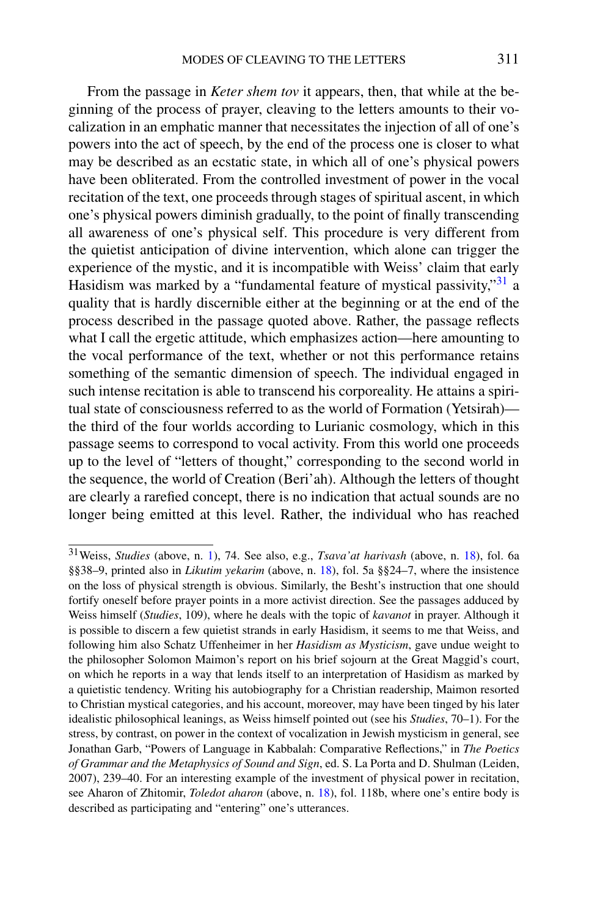From the passage in *Keter shem tov* it appears, then, that while at the beginning of the process of prayer, cleaving to the letters amounts to their vocalization in an emphatic manner that necessitates the injection of all of one's powers into the act of speech, by the end of the process one is closer to what may be described as an ecstatic state, in which all of one's physical powers have been obliterated. From the controlled investment of power in the vocal recitation of the text, one proceeds through stages of spiritual ascent, in which one's physical powers diminish gradually, to the point of finally transcending all awareness of one's physical self. This procedure is very different from the quietist anticipation of divine intervention, which alone can trigger the experience of the mystic, and it is incompatible with Weiss' claim that early Hasidism was marked by a "fundamental feature of mystical passivity,"<sup>[31](#page-12-0)</sup> a quality that is hardly discernible either at the beginning or at the end of the process described in the passage quoted above. Rather, the passage reflects what I call the ergetic attitude, which emphasizes action—here amounting to the vocal performance of the text, whether or not this performance retains something of the semantic dimension of speech. The individual engaged in such intense recitation is able to transcend his corporeality. He attains a spiritual state of consciousness referred to as the world of Formation (Yetsirah) the third of the four worlds according to Lurianic cosmology, which in this passage seems to correspond to vocal activity. From this world one proceeds up to the level of "letters of thought," corresponding to the second world in the sequence, the world of Creation (Beri'ah). Although the letters of thought are clearly a rarefied concept, there is no indication that actual sounds are no longer being emitted at this level. Rather, the individual who has reached

<span id="page-12-0"></span><sup>31</sup>Weiss, *Studies* (above, n. [1\)](#page-1-3), 74. See also, e.g., *Tsava'at harivash* (above, n. [18](#page-6-2)), fol. 6a §§38–9, printed also in *Likutim yekarim* (above, n. [18](#page-6-2)), fol. 5a §§24–7, where the insistence on the loss of physical strength is obvious. Similarly, the Besht's instruction that one should fortify oneself before prayer points in a more activist direction. See the passages adduced by Weiss himself (*Studies*, 109), where he deals with the topic of *kavanot* in prayer. Although it is possible to discern a few quietist strands in early Hasidism, it seems to me that Weiss, and following him also Schatz Uffenheimer in her *Hasidism as Mysticism*, gave undue weight to the philosopher Solomon Maimon's report on his brief sojourn at the Great Maggid's court, on which he reports in a way that lends itself to an interpretation of Hasidism as marked by a quietistic tendency. Writing his autobiography for a Christian readership, Maimon resorted to Christian mystical categories, and his account, moreover, may have been tinged by his later idealistic philosophical leanings, as Weiss himself pointed out (see his *Studies*, 70–1). For the stress, by contrast, on power in the context of vocalization in Jewish mysticism in general, see Jonathan Garb, "Powers of Language in Kabbalah: Comparative Reflections," in *The Poetics of Grammar and the Metaphysics of Sound and Sign*, ed. S. La Porta and D. Shulman (Leiden, 2007), 239–40. For an interesting example of the investment of physical power in recitation, see Aharon of Zhitomir, *Toledot aharon* (above, n. [18\)](#page-6-2), fol. 118b, where one's entire body is described as participating and "entering" one's utterances.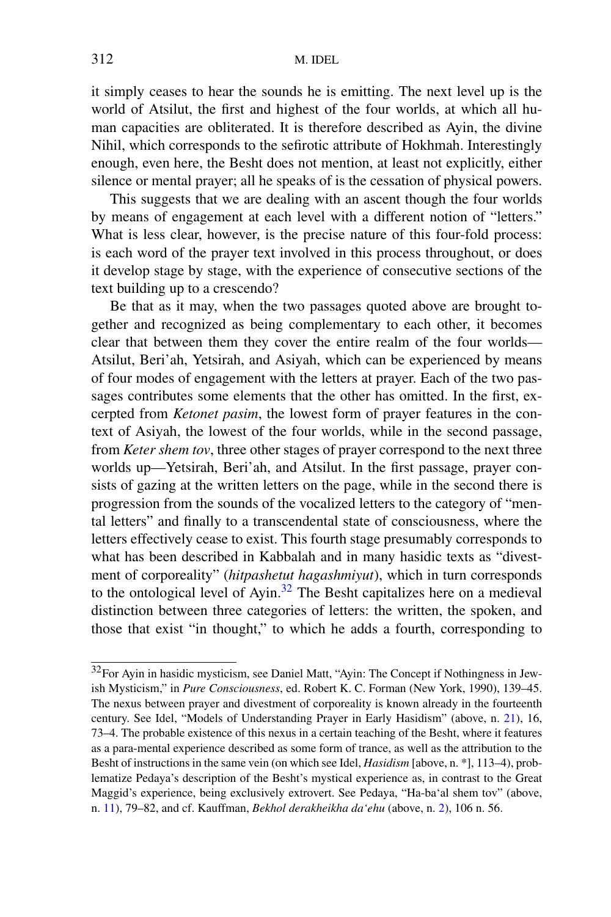it simply ceases to hear the sounds he is emitting. The next level up is the world of Atsilut, the first and highest of the four worlds, at which all human capacities are obliterated. It is therefore described as Ayin, the divine Nihil, which corresponds to the sefirotic attribute of Hokhmah. Interestingly enough, even here, the Besht does not mention, at least not explicitly, either silence or mental prayer; all he speaks of is the cessation of physical powers.

This suggests that we are dealing with an ascent though the four worlds by means of engagement at each level with a different notion of "letters." What is less clear, however, is the precise nature of this four-fold process: is each word of the prayer text involved in this process throughout, or does it develop stage by stage, with the experience of consecutive sections of the text building up to a crescendo?

Be that as it may, when the two passages quoted above are brought together and recognized as being complementary to each other, it becomes clear that between them they cover the entire realm of the four worlds— Atsilut, Beri'ah, Yetsirah, and Asiyah, which can be experienced by means of four modes of engagement with the letters at prayer. Each of the two passages contributes some elements that the other has omitted. In the first, excerpted from *Ketonet pasim*, the lowest form of prayer features in the context of Asiyah, the lowest of the four worlds, while in the second passage, from *Keter shem tov*, three other stages of prayer correspond to the next three worlds up—Yetsirah, Beri'ah, and Atsilut. In the first passage, prayer consists of gazing at the written letters on the page, while in the second there is progression from the sounds of the vocalized letters to the category of "mental letters" and finally to a transcendental state of consciousness, where the letters effectively cease to exist. This fourth stage presumably corresponds to what has been described in Kabbalah and in many hasidic texts as "divestment of corporeality" (*hitpashetut hagashmiyut*), which in turn corresponds to the ontological level of Ayin.<sup>[32](#page-13-0)</sup> The Besht capitalizes here on a medieval distinction between three categories of letters: the written, the spoken, and those that exist "in thought," to which he adds a fourth, corresponding to

<span id="page-13-0"></span><sup>32</sup>For Ayin in hasidic mysticism, see Daniel Matt, "Ayin: The Concept if Nothingness in Jewish Mysticism," in *Pure Consciousness*, ed. Robert K. C. Forman (New York, 1990), 139–45. The nexus between prayer and divestment of corporeality is known already in the fourteenth century. See Idel, "Models of Understanding Prayer in Early Hasidism" (above, n. [21](#page-8-1)), 16, 73–4. The probable existence of this nexus in a certain teaching of the Besht, where it features as a para-mental experience described as some form of trance, as well as the attribution to the Besht of instructions in the same vein (on which see Idel, *Hasidism* [above, n. \*], 113–4), problematize Pedaya's description of the Besht's mystical experience as, in contrast to the Great Maggid's experience, being exclusively extrovert. See Pedaya, "Ha-ba'al shem tov" (above, n. [11\)](#page-3-7), 79–82, and cf. Kauffman, *Bekhol derakheikha da'ehu* (above, n. [2](#page-1-2)), 106 n. 56.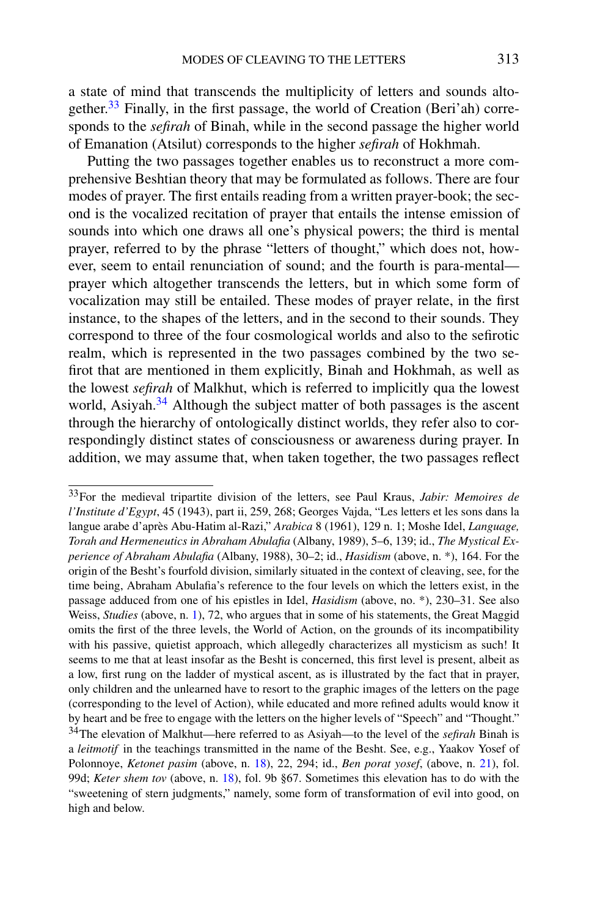a state of mind that transcends the multiplicity of letters and sounds altogether.<sup>33</sup> Finally, in the first passage, the world of Creation (Beri'ah) corresponds to the *sefirah* of Binah, while in the second passage the higher world of Emanation (Atsilut) corresponds to the higher *sefirah* of Hokhmah.

Putting the two passages together enables us to reconstruct a more comprehensive Beshtian theory that may be formulated as follows. There are four modes of prayer. The first entails reading from a written prayer-book; the second is the vocalized recitation of prayer that entails the intense emission of sounds into which one draws all one's physical powers; the third is mental prayer, referred to by the phrase "letters of thought," which does not, however, seem to entail renunciation of sound; and the fourth is para-mental prayer which altogether transcends the letters, but in which some form of vocalization may still be entailed. These modes of prayer relate, in the first instance, to the shapes of the letters, and in the second to their sounds. They correspond to three of the four cosmological worlds and also to the sefirotic realm, which is represented in the two passages combined by the two sefirot that are mentioned in them explicitly, Binah and Hokhmah, as well as the lowest *sefirah* of Malkhut, which is referred to implicitly qua the lowest world, Asiyah. $34$  Although the subject matter of both passages is the ascent through the hierarchy of ontologically distinct worlds, they refer also to correspondingly distinct states of consciousness or awareness during prayer. In addition, we may assume that, when taken together, the two passages reflect

<span id="page-14-1"></span><span id="page-14-0"></span><sup>33</sup>For the medieval tripartite division of the letters, see Paul Kraus, *Jabir: Memoires de l'Institute d'Egypt*, 45 (1943), part ii, 259, 268; Georges Vajda, "Les letters et les sons dans la langue arabe d'après Abu-Hatim al-Razi," *Arabica* 8 (1961), 129 n. 1; Moshe Idel, *Language, Torah and Hermeneutics in Abraham Abulafia* (Albany, 1989), 5–6, 139; id., *The Mystical Experience of Abraham Abulafia* (Albany, 1988), 30–2; id., *Hasidism* (above, n. \*), 164. For the origin of the Besht's fourfold division, similarly situated in the context of cleaving, see, for the time being, Abraham Abulafia's reference to the four levels on which the letters exist, in the passage adduced from one of his epistles in Idel, *Hasidism* (above, no. \*), 230–31. See also Weiss, *Studies* (above, n. [1\)](#page-1-3), 72, who argues that in some of his statements, the Great Maggid omits the first of the three levels, the World of Action, on the grounds of its incompatibility with his passive, quietist approach, which allegedly characterizes all mysticism as such! It seems to me that at least insofar as the Besht is concerned, this first level is present, albeit as a low, first rung on the ladder of mystical ascent, as is illustrated by the fact that in prayer, only children and the unlearned have to resort to the graphic images of the letters on the page (corresponding to the level of Action), while educated and more refined adults would know it by heart and be free to engage with the letters on the higher levels of "Speech" and "Thought." 34The elevation of Malkhut—here referred to as Asiyah—to the level of the *sefirah* Binah is a *leitmotif* in the teachings transmitted in the name of the Besht. See, e.g., Yaakov Yosef of Polonnoye, *Ketonet pasim* (above, n. [18\)](#page-6-2), 22, 294; id., *Ben porat yosef*, (above, n. [21](#page-8-1)), fol. 99d; *Keter shem tov* (above, n. [18\)](#page-6-2), fol. 9b §67. Sometimes this elevation has to do with the "sweetening of stern judgments," namely, some form of transformation of evil into good, on high and below.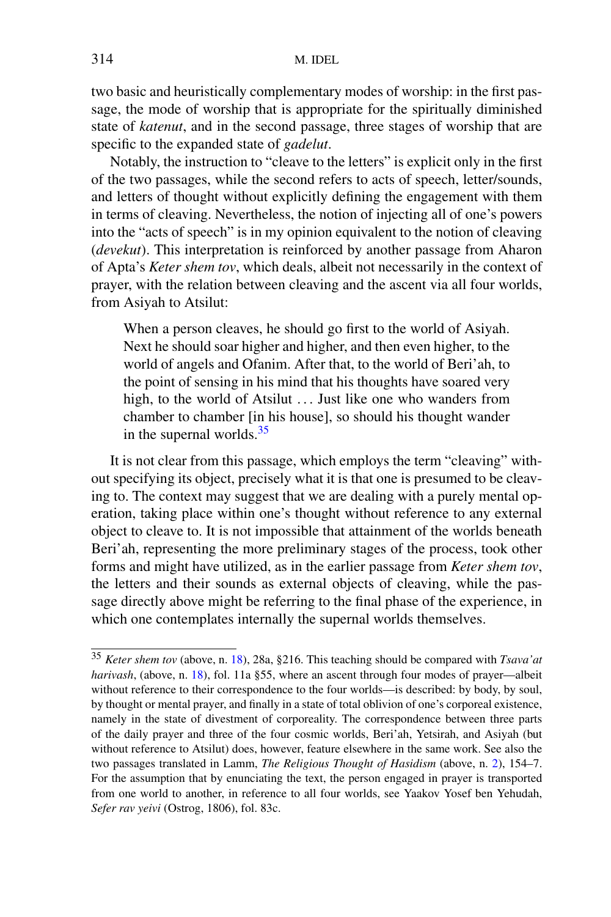two basic and heuristically complementary modes of worship: in the first passage, the mode of worship that is appropriate for the spiritually diminished state of *katenut*, and in the second passage, three stages of worship that are specific to the expanded state of *gadelut*.

Notably, the instruction to "cleave to the letters" is explicit only in the first of the two passages, while the second refers to acts of speech, letter/sounds, and letters of thought without explicitly defining the engagement with them in terms of cleaving. Nevertheless, the notion of injecting all of one's powers into the "acts of speech" is in my opinion equivalent to the notion of cleaving (*devekut*). This interpretation is reinforced by another passage from Aharon of Apta's *Keter shem tov*, which deals, albeit not necessarily in the context of prayer, with the relation between cleaving and the ascent via all four worlds, from Asiyah to Atsilut:

When a person cleaves, he should go first to the world of Asiyah. Next he should soar higher and higher, and then even higher, to the world of angels and Ofanim. After that, to the world of Beri'ah, to the point of sensing in his mind that his thoughts have soared very high, to the world of Atsilut *...* Just like one who wanders from chamber to chamber [in his house], so should his thought wander in the supernal worlds. $35$ 

<span id="page-15-0"></span>It is not clear from this passage, which employs the term "cleaving" without specifying its object, precisely what it is that one is presumed to be cleaving to. The context may suggest that we are dealing with a purely mental operation, taking place within one's thought without reference to any external object to cleave to. It is not impossible that attainment of the worlds beneath Beri'ah, representing the more preliminary stages of the process, took other forms and might have utilized, as in the earlier passage from *Keter shem tov*, the letters and their sounds as external objects of cleaving, while the passage directly above might be referring to the final phase of the experience, in which one contemplates internally the supernal worlds themselves.

<sup>35</sup> *Keter shem tov* (above, n. [18](#page-6-2)), 28a, §216. This teaching should be compared with *Tsava'at harivash*, (above, n. [18\)](#page-6-2), fol. 11a §55, where an ascent through four modes of prayer—albeit without reference to their correspondence to the four worlds—is described: by body, by soul, by thought or mental prayer, and finally in a state of total oblivion of one's corporeal existence, namely in the state of divestment of corporeality. The correspondence between three parts of the daily prayer and three of the four cosmic worlds, Beri'ah, Yetsirah, and Asiyah (but without reference to Atsilut) does, however, feature elsewhere in the same work. See also the two passages translated in Lamm, *The Religious Thought of Hasidism* (above, n. [2\)](#page-1-2), 154–7. For the assumption that by enunciating the text, the person engaged in prayer is transported from one world to another, in reference to all four worlds, see Yaakov Yosef ben Yehudah, *Sefer rav yeivi* (Ostrog, 1806), fol. 83c.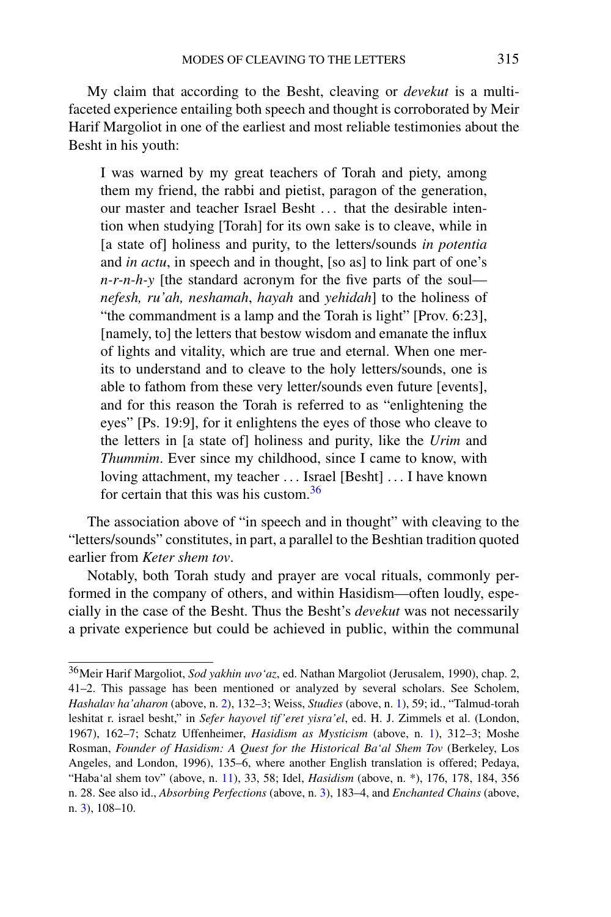My claim that according to the Besht, cleaving or *devekut* is a multifaceted experience entailing both speech and thought is corroborated by Meir Harif Margoliot in one of the earliest and most reliable testimonies about the Besht in his youth:

I was warned by my great teachers of Torah and piety, among them my friend, the rabbi and pietist, paragon of the generation, our master and teacher Israel Besht *...* that the desirable intention when studying [Torah] for its own sake is to cleave, while in [a state of] holiness and purity, to the letters/sounds *in potentia* and *in actu*, in speech and in thought, [so as] to link part of one's *n-r-n-h-y* [the standard acronym for the five parts of the soul *nefesh, ru'ah, neshamah*, *hayah* and *yehidah*] to the holiness of "the commandment is a lamp and the Torah is light" [Prov. 6:23], [namely, to] the letters that bestow wisdom and emanate the influx of lights and vitality, which are true and eternal. When one merits to understand and to cleave to the holy letters/sounds, one is able to fathom from these very letter/sounds even future [events], and for this reason the Torah is referred to as "enlightening the eyes" [Ps. 19:9], for it enlightens the eyes of those who cleave to the letters in [a state of] holiness and purity, like the *Urim* and *Thummim*. Ever since my childhood, since I came to know, with loving attachment, my teacher *...* Israel [Besht] *...* I have known for certain that this was his custom.[36](#page-16-0)

The association above of "in speech and in thought" with cleaving to the "letters/sounds" constitutes, in part, a parallel to the Beshtian tradition quoted earlier from *Keter shem tov*.

<span id="page-16-0"></span>Notably, both Torah study and prayer are vocal rituals, commonly performed in the company of others, and within Hasidism—often loudly, especially in the case of the Besht. Thus the Besht's *devekut* was not necessarily a private experience but could be achieved in public, within the communal

<sup>36</sup>Meir Harif Margoliot, *Sod yakhin uvo'az*, ed. Nathan Margoliot (Jerusalem, 1990), chap. 2, 41–2. This passage has been mentioned or analyzed by several scholars. See Scholem, *Hashalav ha'aharon* (above, n. [2\)](#page-1-2), 132–3; Weiss, *Studies* (above, n. [1](#page-1-3)), 59; id., "Talmud-torah leshitat r. israel besht," in *Sefer hayovel tif'eret yisra'el*, ed. H. J. Zimmels et al. (London, 1967), 162–7; Schatz Uffenheimer, *Hasidism as Mysticism* (above, n. [1\)](#page-1-3), 312–3; Moshe Rosman, *Founder of Hasidism: A Quest for the Historical Ba'al Shem Tov* (Berkeley, Los Angeles, and London, 1996), 135–6, where another English translation is offered; Pedaya, "Haba'al shem tov" (above, n. [11](#page-3-7)), 33, 58; Idel, *Hasidism* (above, n. \*), 176, 178, 184, 356 n. 28. See also id., *Absorbing Perfections* (above, n. [3\)](#page-2-2), 183–4, and *Enchanted Chains* (above, n. [3](#page-2-2)), 108–10.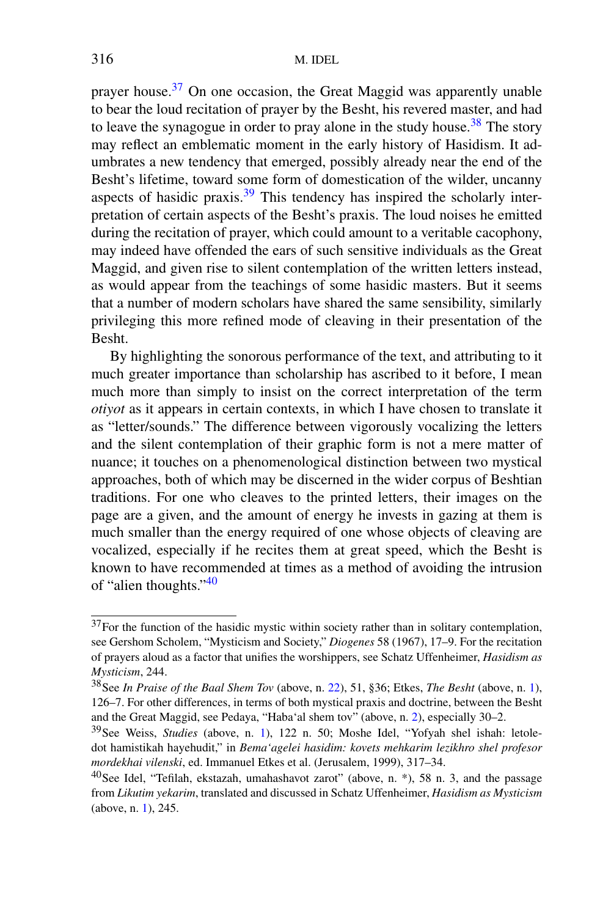prayer house.<sup>[37](#page-17-0)</sup> On one occasion, the Great Maggid was apparently unable to bear the loud recitation of prayer by the Besht, his revered master, and had to leave the synagogue in order to pray alone in the study house.<sup>[38](#page-17-1)</sup> The story may reflect an emblematic moment in the early history of Hasidism. It adumbrates a new tendency that emerged, possibly already near the end of the Besht's lifetime, toward some form of domestication of the wilder, uncanny aspects of hasidic praxis.<sup>[39](#page-17-2)</sup> This tendency has inspired the scholarly interpretation of certain aspects of the Besht's praxis. The loud noises he emitted during the recitation of prayer, which could amount to a veritable cacophony, may indeed have offended the ears of such sensitive individuals as the Great Maggid, and given rise to silent contemplation of the written letters instead, as would appear from the teachings of some hasidic masters. But it seems that a number of modern scholars have shared the same sensibility, similarly privileging this more refined mode of cleaving in their presentation of the Besht.

By highlighting the sonorous performance of the text, and attributing to it much greater importance than scholarship has ascribed to it before, I mean much more than simply to insist on the correct interpretation of the term *otiyot* as it appears in certain contexts, in which I have chosen to translate it as "letter/sounds." The difference between vigorously vocalizing the letters and the silent contemplation of their graphic form is not a mere matter of nuance; it touches on a phenomenological distinction between two mystical approaches, both of which may be discerned in the wider corpus of Beshtian traditions. For one who cleaves to the printed letters, their images on the page are a given, and the amount of energy he invests in gazing at them is much smaller than the energy required of one whose objects of cleaving are vocalized, especially if he recites them at great speed, which the Besht is known to have recommended at times as a method of avoiding the intrusion of "alien thoughts.["40](#page-17-3)

<span id="page-17-3"></span><span id="page-17-2"></span><span id="page-17-1"></span><span id="page-17-0"></span><sup>&</sup>lt;sup>37</sup>For the function of the hasidic mystic within society rather than in solitary contemplation, see Gershom Scholem, "Mysticism and Society," *Diogenes* 58 (1967), 17–9. For the recitation of prayers aloud as a factor that unifies the worshippers, see Schatz Uffenheimer, *Hasidism as Mysticism*, 244.

<sup>38</sup>See *In Praise of the Baal Shem Tov* (above, n. [22](#page-9-2)), 51, §36; Etkes, *The Besht* (above, n. [1](#page-1-3)), 126–7. For other differences, in terms of both mystical praxis and doctrine, between the Besht and the Great Maggid, see Pedaya, "Haba'al shem tov" (above, n. [2](#page-1-2)), especially 30–2.

<sup>39</sup>See Weiss, *Studies* (above, n. [1](#page-1-3)), 122 n. 50; Moshe Idel, "Yofyah shel ishah: letoledot hamistikah hayehudit," in *Bema'agelei hasidim: kovets mehkarim lezikhro shel profesor mordekhai vilenski*, ed. Immanuel Etkes et al. (Jerusalem, 1999), 317–34.

 $40$ See Idel, "Tefilah, ekstazah, umahashavot zarot" (above, n. \*), 58 n. 3, and the passage from *Likutim yekarim*, translated and discussed in Schatz Uffenheimer, *Hasidism as Mysticism* (above, n. [1\)](#page-1-3), 245.